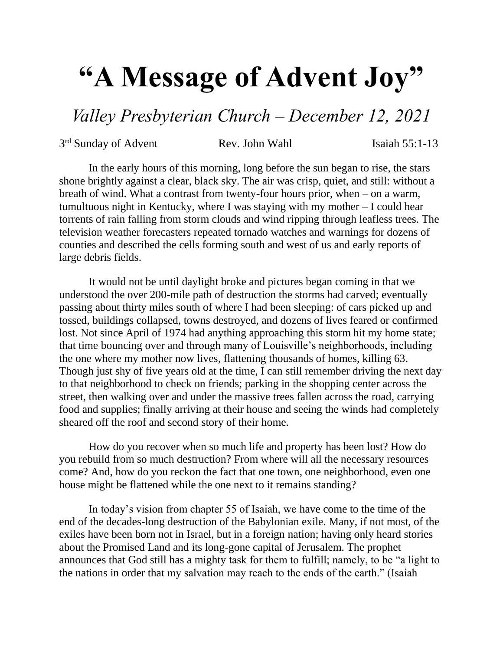## **"A Message of Advent Joy"**

*Valley Presbyterian Church – December 12, 2021*

3<sup>rd</sup> Sunday of Advent Rev. John Wahl Isaiah 55:1-13

In the early hours of this morning, long before the sun began to rise, the stars shone brightly against a clear, black sky. The air was crisp, quiet, and still: without a breath of wind. What a contrast from twenty-four hours prior, when – on a warm, tumultuous night in Kentucky, where I was staying with my mother – I could hear torrents of rain falling from storm clouds and wind ripping through leafless trees. The television weather forecasters repeated tornado watches and warnings for dozens of counties and described the cells forming south and west of us and early reports of large debris fields.

It would not be until daylight broke and pictures began coming in that we understood the over 200-mile path of destruction the storms had carved; eventually passing about thirty miles south of where I had been sleeping: of cars picked up and tossed, buildings collapsed, towns destroyed, and dozens of lives feared or confirmed lost. Not since April of 1974 had anything approaching this storm hit my home state; that time bouncing over and through many of Louisville's neighborhoods, including the one where my mother now lives, flattening thousands of homes, killing 63. Though just shy of five years old at the time, I can still remember driving the next day to that neighborhood to check on friends; parking in the shopping center across the street, then walking over and under the massive trees fallen across the road, carrying food and supplies; finally arriving at their house and seeing the winds had completely sheared off the roof and second story of their home.

How do you recover when so much life and property has been lost? How do you rebuild from so much destruction? From where will all the necessary resources come? And, how do you reckon the fact that one town, one neighborhood, even one house might be flattened while the one next to it remains standing?

In today's vision from chapter 55 of Isaiah, we have come to the time of the end of the decades-long destruction of the Babylonian exile. Many, if not most, of the exiles have been born not in Israel, but in a foreign nation; having only heard stories about the Promised Land and its long-gone capital of Jerusalem. The prophet announces that God still has a mighty task for them to fulfill; namely, to be "a light to the nations in order that my salvation may reach to the ends of the earth." (Isaiah